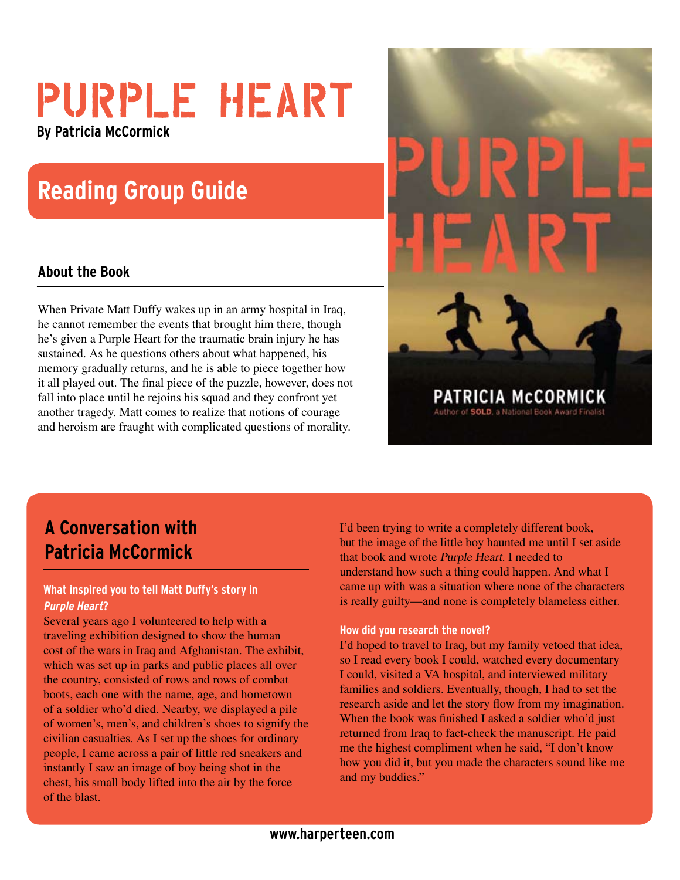# PURPLE HEART **By Patricia McCormick**

# **Reading Group Guide**

### **About the Book**

When Private Matt Duffy wakes up in an army hospital in Iraq, he cannot remember the events that brought him there, though he's given a Purple Heart for the traumatic brain injury he has sustained. As he questions others about what happened, his memory gradually returns, and he is able to piece together how it all played out. The final piece of the puzzle, however, does not fall into place until he rejoins his squad and they confront yet another tragedy. Matt comes to realize that notions of courage and heroism are fraught with complicated questions of morality.



## **A Conversation with Patricia McCormick**

#### **What inspired you to tell Matt Duffy's story in Purple Heart?**

Several years ago I volunteered to help with a traveling exhibition designed to show the human cost of the wars in Iraq and Afghanistan. The exhibit, which was set up in parks and public places all over the country, consisted of rows and rows of combat boots, each one with the name, age, and hometown of a soldier who'd died. Nearby, we displayed a pile of women's, men's, and children's shoes to signify the civilian casualties. As I set up the shoes for ordinary people, I came across a pair of little red sneakers and instantly I saw an image of boy being shot in the chest, his small body lifted into the air by the force of the blast.

I'd been trying to write a completely different book, but the image of the little boy haunted me until I set aside that book and wrote Purple Heart. I needed to understand how such a thing could happen. And what I came up with was a situation where none of the characters is really guilty—and none is completely blameless either.

#### **How did you research the novel?**

I'd hoped to travel to Iraq, but my family vetoed that idea, so I read every book I could, watched every documentary I could, visited a VA hospital, and interviewed military families and soldiers. Eventually, though, I had to set the research aside and let the story flow from my imagination. When the book was finished I asked a soldier who'd just returned from Iraq to fact-check the manuscript. He paid me the highest compliment when he said, "I don't know how you did it, but you made the characters sound like me and my buddies."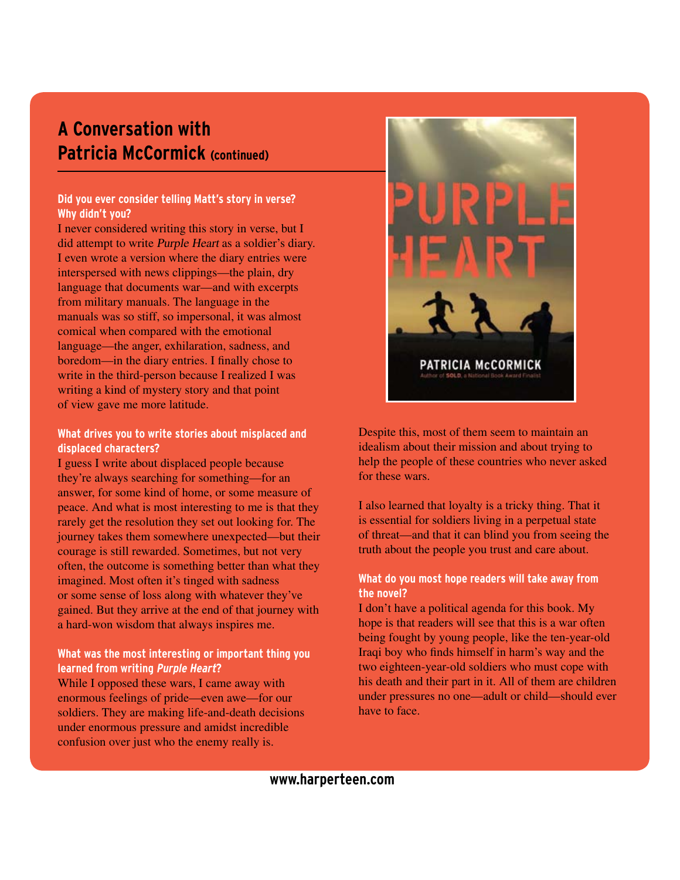## **A Conversation with Patricia McCormick (continued)**

#### **Did you ever consider telling Matt's story in verse? Why didn't you?**

I never considered writing this story in verse, but I did attempt to write Purple Heart as a soldier's diary. I even wrote a version where the diary entries were interspersed with news clippings—the plain, dry language that documents war—and with excerpts from military manuals. The language in the manuals was so stiff, so impersonal, it was almost comical when compared with the emotional language—the anger, exhilaration, sadness, and boredom—in the diary entries. I finally chose to write in the third-person because I realized I was writing a kind of mystery story and that point of view gave me more latitude.

#### **What drives you to write stories about misplaced and displaced characters?**

I guess I write about displaced people because they're always searching for something—for an answer, for some kind of home, or some measure of peace. And what is most interesting to me is that they rarely get the resolution they set out looking for. The journey takes them somewhere unexpected—but their courage is still rewarded. Sometimes, but not very often, the outcome is something better than what they imagined. Most often it's tinged with sadness or some sense of loss along with whatever they've gained. But they arrive at the end of that journey with a hard-won wisdom that always inspires me.

#### **What was the most interesting or important thing you learned from writing Purple Heart?**

While I opposed these wars, I came away with enormous feelings of pride—even awe—for our soldiers. They are making life-and-death decisions under enormous pressure and amidst incredible confusion over just who the enemy really is.



Despite this, most of them seem to maintain an idealism about their mission and about trying to help the people of these countries who never asked for these wars.

I also learned that loyalty is a tricky thing. That it is essential for soldiers living in a perpetual state of threat—and that it can blind you from seeing the truth about the people you trust and care about.

#### **What do you most hope readers will take away from the novel?**

I don't have a political agenda for this book. My hope is that readers will see that this is a war often being fought by young people, like the ten-year-old Iraqi boy who finds himself in harm's way and the two eighteen-year-old soldiers who must cope with his death and their part in it. All of them are children under pressures no one—adult or child—should ever have to face.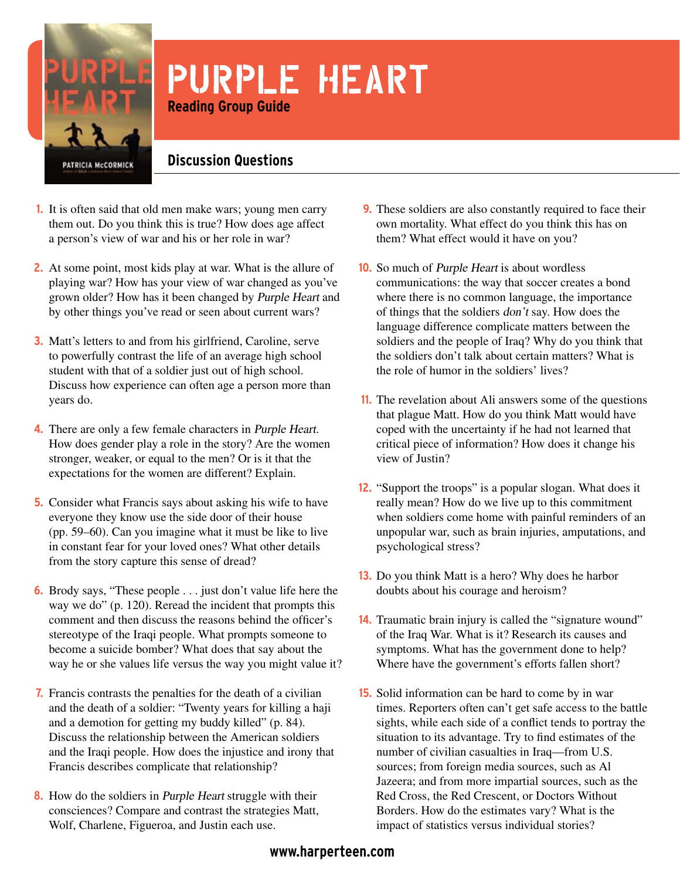

# PURPLE HEART **Reading Group Guide**

**Discussion Questions**

- **1.** It is often said that old men make wars; young men carry them out. Do you think this is true? How does age affect a person's view of war and his or her role in war?
- At some point, most kids play at war. What is the allure of **2.** playing war? How has your view of war changed as you've grown older? How has it been changed by Purple Heart and by other things you've read or seen about current wars?
- **3.** Matt's letters to and from his girlfriend, Caroline, serve to powerfully contrast the life of an average high school student with that of a soldier just out of high school. Discuss how experience can often age a person more than years do.
- 4. There are only a few female characters in Purple Heart. How does gender play a role in the story? Are the women stronger, weaker, or equal to the men? Or is it that the expectations for the women are different? Explain.
- **5.** Consider what Francis says about asking his wife to have everyone they know use the side door of their house (pp. 59–60). Can you imagine what it must be like to live in constant fear for your loved ones? What other details from the story capture this sense of dread?
- **6.** Brody says, "These people . . . just don't value life here the way we do" (p. 120). Reread the incident that prompts this comment and then discuss the reasons behind the officer's stereotype of the Iraqi people. What prompts someone to become a suicide bomber? What does that say about the way he or she values life versus the way you might value it?
- Francis contrasts the penalties for the death of a civilian **7.** and the death of a soldier: "Twenty years for killing a haji and a demotion for getting my buddy killed" (p. 84). Discuss the relationship between the American soldiers and the Iraqi people. How does the injustice and irony that Francis describes complicate that relationship?
- 8. How do the soldiers in *Purple Heart* struggle with their consciences? Compare and contrast the strategies Matt, Wolf, Charlene, Figueroa, and Justin each use.
- These soldiers are also constantly required to face their **9.** own mortality. What effect do you think this has on them? What effect would it have on you?
- **10.** So much of *Purple Heart* is about wordless communications: the way that soccer creates a bond where there is no common language, the importance of things that the soldiers don't say. How does the language difference complicate matters between the soldiers and the people of Iraq? Why do you think that the soldiers don't talk about certain matters? What is the role of humor in the soldiers' lives?
- **11.** The revelation about Ali answers some of the questions that plague Matt. How do you think Matt would have coped with the uncertainty if he had not learned that critical piece of information? How does it change his view of Justin?
- 12. "Support the troops" is a popular slogan. What does it really mean? How do we live up to this commitment when soldiers come home with painful reminders of an unpopular war, such as brain injuries, amputations, and psychological stress?
- 13. Do you think Matt is a hero? Why does he harbor doubts about his courage and heroism?
- 14. Traumatic brain injury is called the "signature wound" of the Iraq War. What is it? Research its causes and symptoms. What has the government done to help? Where have the government's efforts fallen short?
- **15.** Solid information can be hard to come by in war times. Reporters often can't get safe access to the battle sights, while each side of a conflict tends to portray the situation to its advantage. Try to find estimates of the number of civilian casualties in Iraq—from U.S. sources; from foreign media sources, such as Al Jazeera; and from more impartial sources, such as the Red Cross, the Red Crescent, or Doctors Without Borders. How do the estimates vary? What is the impact of statistics versus individual stories?